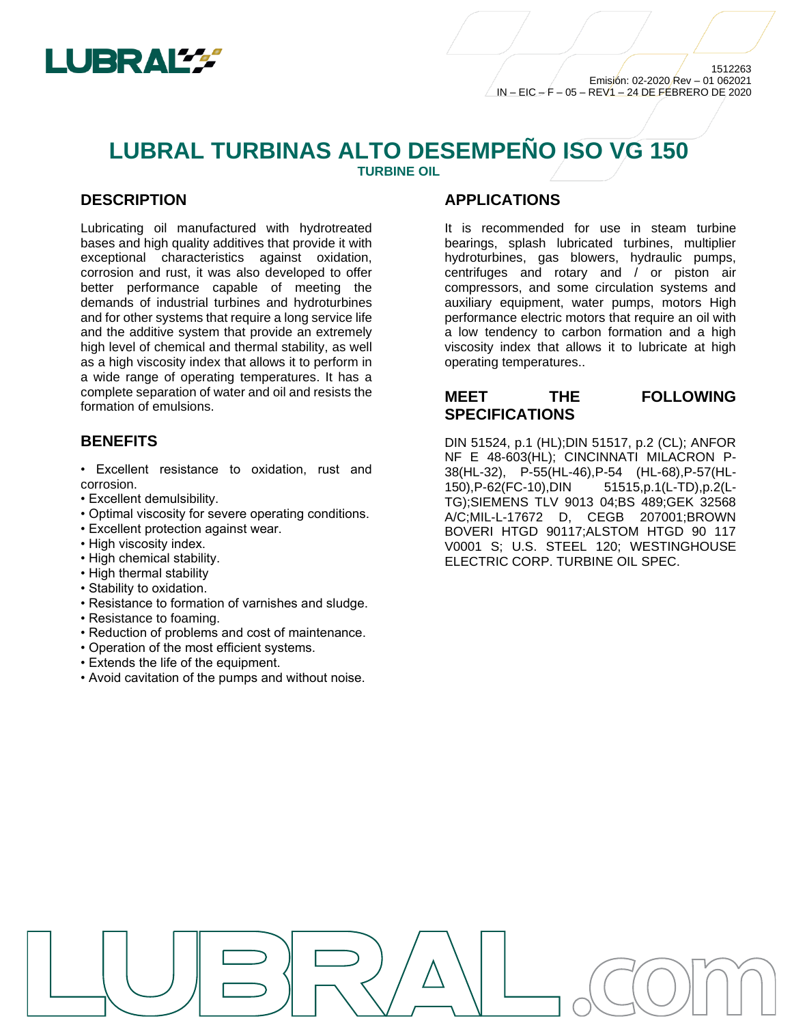

# **LUBRAL TURBINAS ALTO DESEMPEÑO ISO VG 150 TURBINE OIL**

**DESCRIPTION**

Lubricating oil manufactured with hydrotreated bases and high quality additives that provide it with exceptional characteristics against oxidation, corrosion and rust, it was also developed to offer better performance capable of meeting the demands of industrial turbines and hydroturbines and for other systems that require a long service life and the additive system that provide an extremely high level of chemical and thermal stability, as well as a high viscosity index that allows it to perform in a wide range of operating temperatures. It has a complete separation of water and oil and resists the formation of emulsions.

## **BENEFITS**

- Excellent resistance to oxidation, rust and corrosion.
- Excellent demulsibility.
- Optimal viscosity for severe operating conditions.
- Excellent protection against wear.
- High viscosity index.
- High chemical stability.
- High thermal stability
- Stability to oxidation.
- Resistance to formation of varnishes and sludge.
- Resistance to foaming.
- Reduction of problems and cost of maintenance.
- Operation of the most efficient systems.
- Extends the life of the equipment.
- Avoid cavitation of the pumps and without noise.

### **APPLICATIONS**

It is recommended for use in steam turbine bearings, splash lubricated turbines, multiplier hydroturbines, gas blowers, hydraulic pumps, centrifuges and rotary and / or piston air compressors, and some circulation systems and auxiliary equipment, water pumps, motors High performance electric motors that require an oil with a low tendency to carbon formation and a high viscosity index that allows it to lubricate at high operating temperatures..

## **MEET THE FOLLOWING SPECIFICATIONS**

DIN 51524, p.1 (HL);DIN 51517, p.2 (CL); ANFOR NF E 48-603(HL); CINCINNATI MILACRON P-38(HL-32), P-55(HL-46),P-54 (HL-68),P-57(HL-150),P-62(FC-10),DIN 51515,p.1(L-TD),p.2(L-TG);SIEMENS TLV 9013 04;BS 489;GEK 32568 A/C;MIL-L-17672 D, CEGB 207001;BROWN BOVERI HTGD 90117;ALSTOM HTGD 90 117 V0001 S; U.S. STEEL 120; WESTINGHOUSE ELECTRIC CORP. TURBINE OIL SPEC.